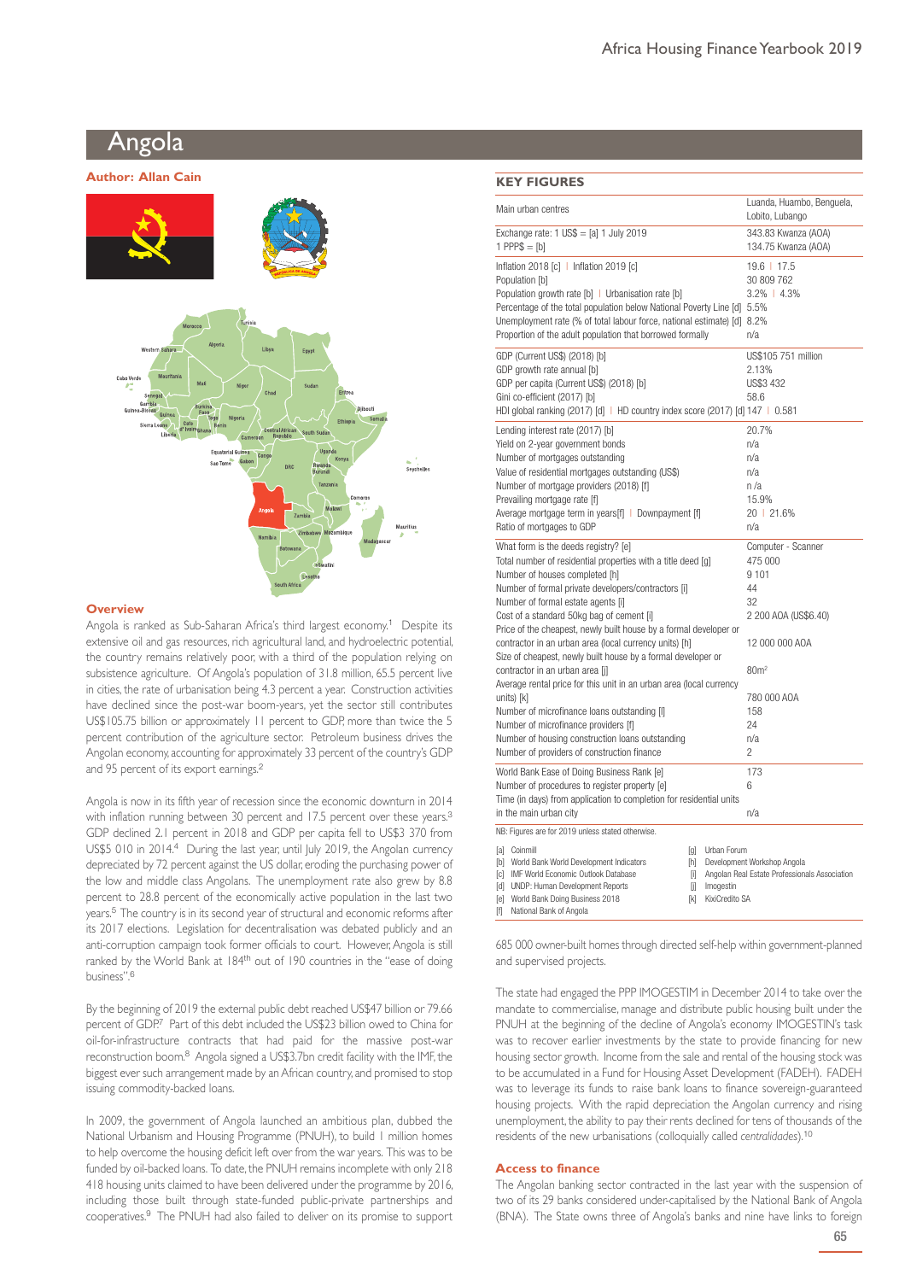# Angola **Author: Allan Cain KEY FIGURES**



#### **Overview**

Angola is ranked as Sub-Saharan Africa's third largest economy.<sup>1</sup> Despite its extensive oil and gas resources, rich agricultural land, and hydroelectric potential, the country remains relatively poor, with a third of the population relying on subsistence agriculture. Of Angola's population of 31.8 million, 65.5 percent live in cities, the rate of urbanisation being 4.3 percent a year. Construction activities have declined since the post-war boom-years, yet the sector still contributes US\$105.75 billion or approximately 11 percent to GDP, more than twice the 5 percent contribution of the agriculture sector. Petroleum business drives the Angolan economy, accounting for approximately 33 percent of the country's GDP and 95 percent of its export earnings.<sup>2</sup>

Angola is now in its fifth year of recession since the economic downturn in 2014 with inflation running between 30 percent and 17.5 percent over these years.<sup>3</sup> GDP declined 2.1 percent in 2018 and GDP per capita fell to US\$3 370 from US\$5 010 in 2014.<sup>4</sup> During the last year, until July 2019, the Angolan currency depreciated by 72 percent against the US dollar, eroding the purchasing power of the low and middle class Angolans. The unemployment rate also grew by 8.8 percent to 28.8 percent of the economically active population in the last two years.<sup>5</sup> The country is in its second year of structural and economic reforms after its 2017 elections. Legislation for decentralisation was debated publicly and an anti-corruption campaign took former officials to court. However, Angola is still ranked by the World Bank at 184<sup>th</sup> out of 190 countries in the "ease of doing business".<sup>6</sup>

By the beginning of 2019 the external public debt reached US\$47 billion or 79.66 percent of GDP.<sup>7</sup> Part of this debt included the US\$23 billion owed to China for oil-for-infrastructure contracts that had paid for the massive post-war reconstruction boom.<sup>8</sup> Angola signed a US\$3.7bn credit facility with the IMF, the biggest ever such arrangement made by an African country, and promised to stop issuing commodity-backed loans.

In 2009, the government of Angola launched an ambitious plan, dubbed the National Urbanism and Housing Programme (PNUH), to build 1 million homes to help overcome the housing deficit left over from the war years. This was to be funded by oil-backed loans. To date, the PNUH remains incomplete with only 218 418 housing units claimed to have been delivered under the programme by 2016, including those built through state-funded public-private partnerships and cooperatives.<sup>9</sup> The PNUH had also failed to deliver on its promise to support

| Main urban centres                                                                                                                                                                                                                                                                                                                                                                                                                                                                                                                                                                                                                                                                                                                                                                                 | Luanda, Huambo, Benguela,<br>Lobito, Lubango                                                                                                                         |
|----------------------------------------------------------------------------------------------------------------------------------------------------------------------------------------------------------------------------------------------------------------------------------------------------------------------------------------------------------------------------------------------------------------------------------------------------------------------------------------------------------------------------------------------------------------------------------------------------------------------------------------------------------------------------------------------------------------------------------------------------------------------------------------------------|----------------------------------------------------------------------------------------------------------------------------------------------------------------------|
| Exchange rate: $1 \text{ US}\$ = [a] 1 \text{ July } 2019$<br>1 PPP $$ = [b]$                                                                                                                                                                                                                                                                                                                                                                                                                                                                                                                                                                                                                                                                                                                      | 343.83 Kwanza (AOA)<br>134.75 Kwanza (AOA)                                                                                                                           |
| Inflation 2018 [c]   Inflation 2019 [c]<br>Population [b]<br>Population growth rate [b]   Urbanisation rate [b]<br>Percentage of the total population below National Poverty Line [d] 5.5%<br>Unemployment rate (% of total labour force, national estimate) [d] 8.2%<br>Proportion of the adult population that borrowed formally                                                                                                                                                                                                                                                                                                                                                                                                                                                                 | 19.6   17.5<br>30 809 762<br>$3.2\%$   4.3%<br>n/a                                                                                                                   |
| GDP (Current US\$) (2018) [b]<br>GDP growth rate annual [b]<br>GDP per capita (Current US\$) (2018) [b]<br>Gini co-efficient (2017) [b]<br>HDI global ranking (2017) [d]   HD country index score (2017) [d] 147   0.581                                                                                                                                                                                                                                                                                                                                                                                                                                                                                                                                                                           | US\$105 751 million<br>2.13%<br>US\$3 432<br>58.6                                                                                                                    |
| Lending interest rate (2017) [b]<br>Yield on 2-year government bonds<br>Number of mortgages outstanding<br>Value of residential mortgages outstanding (US\$)<br>Number of mortgage providers (2018) [f]<br>Prevailing mortgage rate [f]<br>Average mortgage term in years[f]   Downpayment [f]<br>Ratio of mortgages to GDP                                                                                                                                                                                                                                                                                                                                                                                                                                                                        | 20.7%<br>n/a<br>n/a<br>n/a<br>n/a<br>15.9%<br>20   21.6%<br>n/a                                                                                                      |
| What form is the deeds registry? [e]<br>Total number of residential properties with a title deed [g]<br>Number of houses completed [h]<br>Number of formal private developers/contractors [i]<br>Number of formal estate agents [i]<br>Cost of a standard 50kg bag of cement [i]<br>Price of the cheapest, newly built house by a formal developer or<br>contractor in an urban area (local currency units) [h]<br>Size of cheapest, newly built house by a formal developer or<br>contractor in an urban area [i]<br>Average rental price for this unit in an urban area (local currency<br>units) [k]<br>Number of microfinance loans outstanding [I]<br>Number of microfinance providers [f]<br>Number of housing construction loans outstanding<br>Number of providers of construction finance | Computer - Scanner<br>475 000<br>9101<br>44<br>32<br>2 200 AOA (US\$6.40)<br>12 000 000 AOA<br>80 <sup>m²</sup><br>780 000 AOA<br>158<br>24<br>n/a<br>$\overline{c}$ |
| World Bank Ease of Doing Business Rank [e]<br>Number of procedures to register property [e]<br>Time (in days) from application to completion for residential units<br>in the main urban city                                                                                                                                                                                                                                                                                                                                                                                                                                                                                                                                                                                                       | 173<br>6<br>n/a                                                                                                                                                      |
| NB: Figures are for 2019 unless stated otherwise.<br>[a] Coinmill<br>[g] Urban Forum<br>[b] World Bank World Development Indicators<br>[h]<br>[c] IMF World Economic Outlook Database<br>Γi<br>[d] UNDP: Human Development Reports<br>Imogestin<br>ſil<br>KixiCredito SA<br>[e] World Bank Doing Business 2018<br>[k]<br>National Bank of Angola<br>ſfl                                                                                                                                                                                                                                                                                                                                                                                                                                            | Development Workshop Angola<br>Angolan Real Estate Professionals Association                                                                                         |

685 000 owner-built homes through directed self-help within government-planned and supervised projects.

The state had engaged the PPP IMOGESTIM in December 2014 to take over the mandate to commercialise, manage and distribute public housing built under the PNUH at the beginning of the decline of Angola's economy IMOGESTIN's task was to recover earlier investments by the state to provide financing for new housing sector growth. Income from the sale and rental of the housing stock was to be accumulated in a Fund for Housing Asset Development (FADEH). FADEH was to leverage its funds to raise bank loans to finance sovereign-guaranteed housing projects. With the rapid depreciation the Angolan currency and rising unemployment, the ability to pay their rents declined for tens of thousands of the residents of the new urbanisations (colloquially called *centralidades*).<sup>10</sup>

## **Access to finance**

The Angolan banking sector contracted in the last year with the suspension of two of its 29 banks considered under-capitalised by the National Bank of Angola (BNA). The State owns three of Angola's banks and nine have links to foreign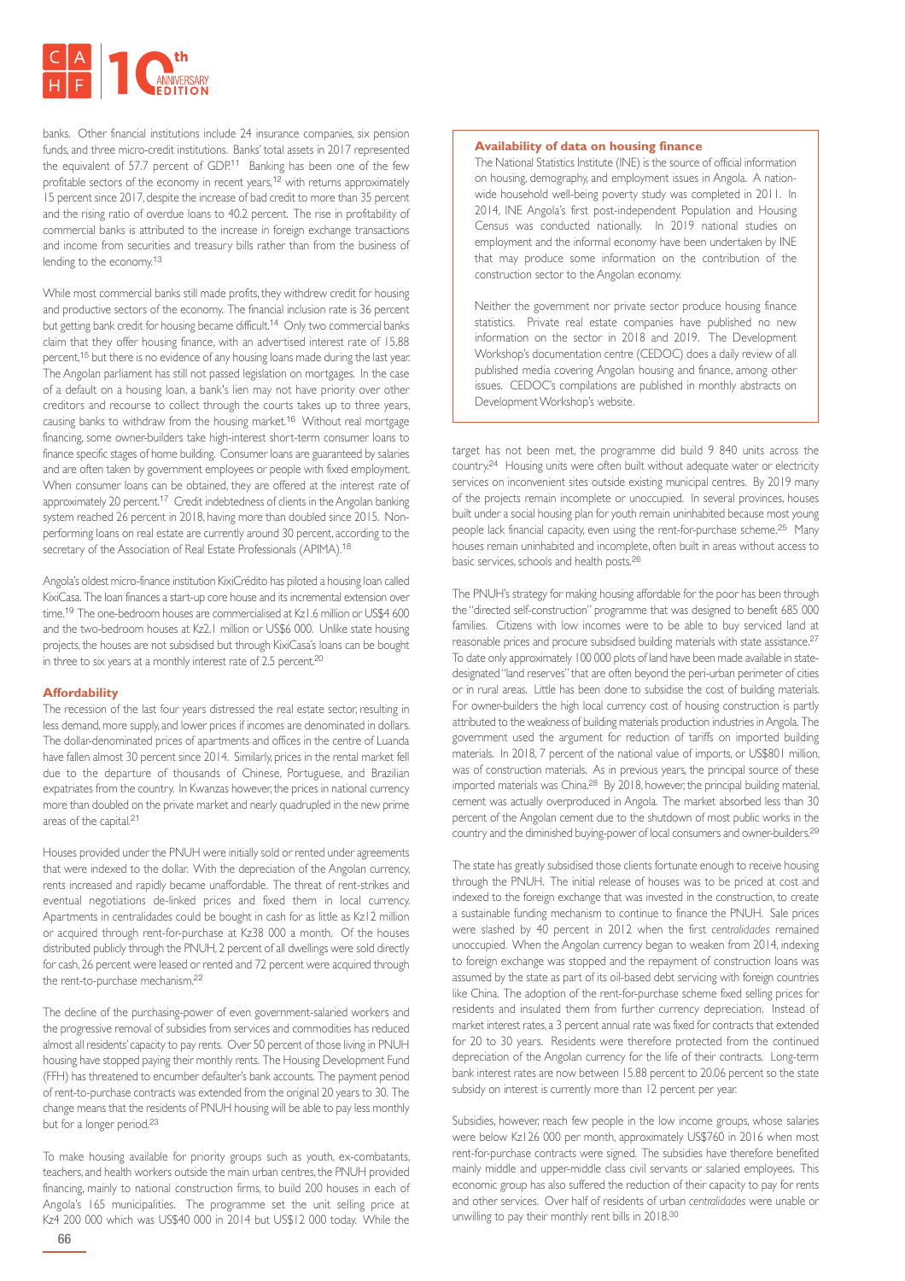

banks. Other financial institutions include 24 insurance companies, six pension funds, and three micro-credit institutions. Banks' total assets in 2017 represented the equivalent of 57.7 percent of GDP.<sup>11</sup> Banking has been one of the few profitable sectors of the economy in recent years,<sup>12</sup> with returns approximately 15 percent since 2017, despite the increase of bad credit to more than 35 percent and the rising ratio of overdue loans to 40.2 percent. The rise in profitability of commercial banks is attributed to the increase in foreign exchange transactions and income from securities and treasury bills rather than from the business of lending to the economy.<sup>13</sup>

While most commercial banks still made profits, they withdrew credit for housing and productive sectors of the economy. The financial inclusion rate is 36 percent but getting bank credit for housing became difficult.<sup>14</sup> Only two commercial banks claim that they offer housing finance, with an advertised interest rate of 15.88 percent,<sup>15</sup> but there is no evidence of any housing loans made during the last year. The Angolan parliament has still not passed legislation on mortgages. In the case of a default on a housing loan, a bank's lien may not have priority over other creditors and recourse to collect through the courts takes up to three years, causing banks to withdraw from the housing market.<sup>16</sup> Without real mortgage financing, some owner-builders take high-interest short-term consumer loans to finance specific stages of home building. Consumer loans are guaranteed by salaries and are often taken by government employees or people with fixed employment. When consumer loans can be obtained, they are offered at the interest rate of approximately 20 percent.<sup>17</sup> Credit indebtedness of clients in the Angolan banking system reached 26 percent in 2018, having more than doubled since 2015. Nonperforming loans on real estate are currently around 30 percent, according to the secretary of the Association of Real Estate Professionals (APIMA).<sup>18</sup>

Angola's oldest micro-finance institution KixiCrédito has piloted a housing loan called KixiCasa. The loan finances a start-up core house and its incremental extension over time.<sup>19</sup> The one-bedroom houses are commercialised at KzL6 million or US\$4,600 and the two-bedroom houses at Kz2.1 million or US\$6 000. Unlike state housing projects, the houses are not subsidised but through KixiCasa's loans can be bought in three to six years at a monthly interest rate of 2.5 percent.<sup>20</sup>

# **Affordability**

The recession of the last four years distressed the real estate sector, resulting in less demand, more supply, and lower prices if incomes are denominated in dollars. The dollar-denominated prices of apartments and offices in the centre of Luanda have fallen almost 30 percent since 2014. Similarly, prices in the rental market fell due to the departure of thousands of Chinese, Portuguese, and Brazilian expatriates from the country. In Kwanzas however, the prices in national currency more than doubled on the private market and nearly quadrupled in the new prime areas of the capital.<sup>21</sup>

Houses provided under the PNUH were initially sold or rented under agreements that were indexed to the dollar. With the depreciation of the Angolan currency, rents increased and rapidly became unaffordable. The threat of rent-strikes and eventual negotiations de-linked prices and fixed them in local currency. Apartments in centralidades could be bought in cash for as little as Kz12 million or acquired through rent-for-purchase at Kz38 000 a month. Of the houses distributed publicly through the PNUH, 2 percent of all dwellings were sold directly for cash, 26 percent were leased or rented and 72 percent were acquired through the rent-to-purchase mechanism.<sup>22</sup>

The decline of the purchasing-power of even government-salaried workers and the progressive removal of subsidies from services and commodities has reduced almost all residents' capacity to pay rents. Over 50 percent of those living in PNUH housing have stopped paying their monthly rents. The Housing Development Fund (FFH) has threatened to encumber defaulter's bank accounts. The payment period of rent-to-purchase contracts was extended from the original 20 years to 30. The change means that the residents of PNUH housing will be able to pay less monthly but for a longer period.<sup>23</sup>

To make housing available for priority groups such as youth, ex-combatants, teachers, and health workers outside the main urban centres, the PNUH provided financing, mainly to national construction firms, to build 200 houses in each of Angola's 165 municipalities. The programme set the unit selling price at Kz4 200 000 which was US\$40 000 in 2014 but US\$12 000 today. While the

# **Availability of data on housing finance**

The National Statistics Institute (INE) is the source of official information on housing, demography, and employment issues in Angola. A nationwide household well-being poverty study was completed in 2011. In 2014, INE Angola's first post-independent Population and Housing Census was conducted nationally. In 2019 national studies on employment and the informal economy have been undertaken by INE that may produce some information on the contribution of the construction sector to the Angolan economy.

Neither the government nor private sector produce housing finance statistics. Private real estate companies have published no new information on the sector in 2018 and 2019. The Development Workshop's documentation centre (CEDOC) does a daily review of all published media covering Angolan housing and finance, among other issues. CEDOC's compilations are published in monthly abstracts on Development Workshop's website.

target has not been met, the programme did build 9 840 units across the country.<sup>24</sup> Housing units were often built without adequate water or electricity services on inconvenient sites outside existing municipal centres. By 2019 many of the projects remain incomplete or unoccupied. In several provinces, houses built under a social housing plan for youth remain uninhabited because most young people lack financial capacity, even using the rent-for-purchase scheme.<sup>25</sup> Many houses remain uninhabited and incomplete, often built in areas without access to basic services, schools and health posts.<sup>26</sup>

The PNUH's strategy for making housing affordable for the poor has been through the "directed self-construction" programme that was designed to benefit 685 000 families. Citizens with low incomes were to be able to buy serviced land at reasonable prices and procure subsidised building materials with state assistance.<sup>27</sup> To date only approximately 100 000 plots of land have been made available in statedesignated "land reserves" that are often beyond the peri-urban perimeter of cities or in rural areas. Little has been done to subsidise the cost of building materials. For owner-builders the high local currency cost of housing construction is partly attributed to the weakness of building materials production industries in Angola. The government used the argument for reduction of tariffs on imported building materials. In 2018, 7 percent of the national value of imports, or US\$801 million, was of construction materials. As in previous years, the principal source of these imported materials was China.<sup>28</sup> By 2018, however, the principal building material, cement was actually overproduced in Angola. The market absorbed less than 30 percent of the Angolan cement due to the shutdown of most public works in the country and the diminished buying-power of local consumers and owner-builders.<sup>29</sup>

The state has greatly subsidised those clients fortunate enough to receive housing through the PNUH. The initial release of houses was to be priced at cost and indexed to the foreign exchange that was invested in the construction, to create a sustainable funding mechanism to continue to finance the PNUH. Sale prices were slashed by 40 percent in 2012 when the first *centralidades* remained unoccupied. When the Angolan currency began to weaken from 2014, indexing to foreign exchange was stopped and the repayment of construction loans was assumed by the state as part of its oil-based debt servicing with foreign countries like China. The adoption of the rent-for-purchase scheme fixed selling prices for residents and insulated them from further currency depreciation. Instead of market interest rates, a 3 percent annual rate was fixed for contracts that extended for 20 to 30 years. Residents were therefore protected from the continued depreciation of the Angolan currency for the life of their contracts. Long-term bank interest rates are now between 15.88 percent to 20.06 percent so the state subsidy on interest is currently more than 12 percent per year.

Subsidies, however, reach few people in the low income groups, whose salaries were below Kz126 000 per month, approximately US\$760 in 2016 when most rent-for-purchase contracts were signed. The subsidies have therefore benefited mainly middle and upper-middle class civil servants or salaried employees. This economic group has also suffered the reduction of their capacity to pay for rents and other services. Over half of residents of urban *centralidades* were unable or unwilling to pay their monthly rent bills in 2018.<sup>30</sup>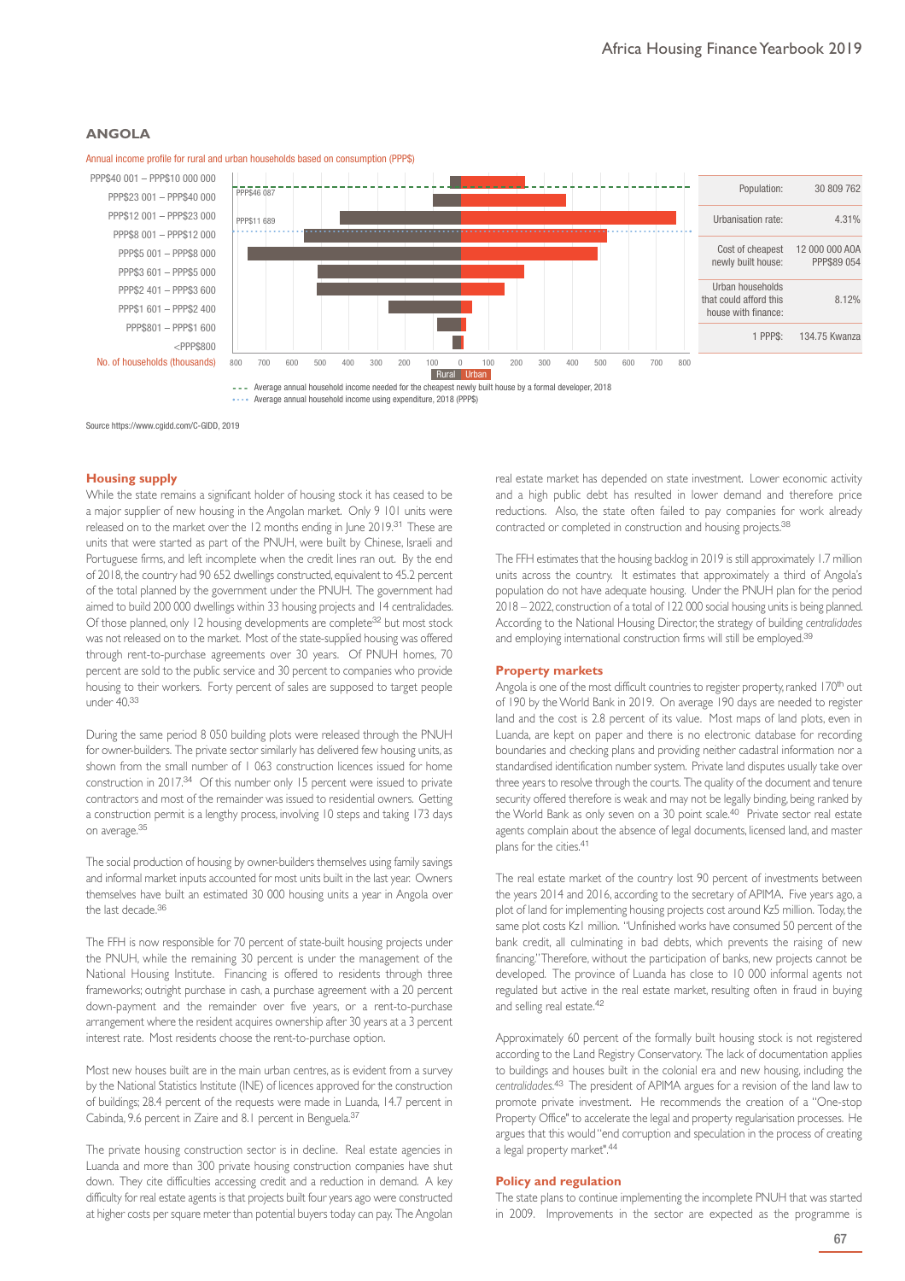# **ANGOLA**



Annual income profile for rural and urban households based on consumption (PPP\$)

Source https://www.cgidd.com/C-GIDD, 2019

# **Housing supply**

While the state remains a significant holder of housing stock it has ceased to be a major supplier of new housing in the Angolan market. Only 9 101 units were released on to the market over the 12 months ending in June 2019.<sup>31</sup> These are units that were started as part of the PNUH, were built by Chinese, Israeli and Portuguese firms, and left incomplete when the credit lines ran out. By the end of 2018, the country had 90 652 dwellings constructed, equivalent to 45.2 percent of the total planned by the government under the PNUH. The government had aimed to build 200 000 dwellings within 33 housing projects and 14 centralidades. Of those planned, only 12 housing developments are complete<sup>32</sup> but most stock was not released on to the market. Most of the state-supplied housing was offered through rent-to-purchase agreements over 30 years. Of PNUH homes, 70 percent are sold to the public service and 30 percent to companies who provide housing to their workers. Forty percent of sales are supposed to target people under 40.<sup>33</sup>

During the same period 8 050 building plots were released through the PNUH for owner-builders. The private sector similarly has delivered few housing units, as shown from the small number of 1 063 construction licences issued for home construction in 2017.<sup>34</sup> Of this number only 15 percent were issued to private contractors and most of the remainder was issued to residential owners. Getting a construction permit is a lengthy process, involving 10 steps and taking 173 days on average.<sup>35</sup>

The social production of housing by owner-builders themselves using family savings and informal market inputs accounted for most units built in the last year. Owners themselves have built an estimated 30 000 housing units a year in Angola over the last decade.<sup>36</sup>

The FFH is now responsible for 70 percent of state-built housing projects under the PNUH, while the remaining 30 percent is under the management of the National Housing Institute. Financing is offered to residents through three frameworks; outright purchase in cash, a purchase agreement with a 20 percent down-payment and the remainder over five years, or a rent-to-purchase arrangement where the resident acquires ownership after 30 years at a 3 percent interest rate. Most residents choose the rent-to-purchase option.

Most new houses built are in the main urban centres, as is evident from a survey by the National Statistics Institute (INE) of licences approved for the construction of buildings; 28.4 percent of the requests were made in Luanda, 14.7 percent in Cabinda, 9.6 percent in Zaire and 8.1 percent in Benguela.<sup>37</sup>

The private housing construction sector is in decline. Real estate agencies in Luanda and more than 300 private housing construction companies have shut down. They cite difficulties accessing credit and a reduction in demand. A key difficulty for real estate agents is that projects built four years ago were constructed at higher costs per square meter than potential buyers today can pay. The Angolan

real estate market has depended on state investment. Lower economic activity and a high public debt has resulted in lower demand and therefore price reductions. Also, the state often failed to pay companies for work already contracted or completed in construction and housing projects.<sup>38</sup>

The FFH estimates that the housing backlog in 2019 is still approximately 1.7 million units across the country. It estimates that approximately a third of Angola's population do not have adequate housing. Under the PNUH plan for the period 2018 – 2022, construction of a total of 122 000 social housing units is being planned. According to the National Housing Director, the strategy of building *centralidades* and employing international construction firms will still be employed.<sup>39</sup>

#### **Property markets**

Angola is one of the most difficult countries to register property, ranked 170<sup>th</sup> out of 190 by the World Bank in 2019. On average 190 days are needed to register land and the cost is 2.8 percent of its value. Most maps of land plots, even in Luanda, are kept on paper and there is no electronic database for recording boundaries and checking plans and providing neither cadastral information nor a standardised identification number system. Private land disputes usually take over three years to resolve through the courts. The quality of the document and tenure security offered therefore is weak and may not be legally binding, being ranked by the World Bank as only seven on a 30 point scale.<sup>40</sup> Private sector real estate agents complain about the absence of legal documents, licensed land, and master plans for the cities.<sup>41</sup>

The real estate market of the country lost 90 percent of investments between the years 2014 and 2016, according to the secretary of APIMA. Five years ago, a plot of land for implementing housing projects cost around Kz5 million. Today, the same plot costs Kz1 million. "Unfinished works have consumed 50 percent of the bank credit, all culminating in bad debts, which prevents the raising of new financing." Therefore, without the participation of banks, new projects cannot be developed. The province of Luanda has close to 10 000 informal agents not regulated but active in the real estate market, resulting often in fraud in buying and selling real estate.<sup>42</sup>

Approximately 60 percent of the formally built housing stock is not registered according to the Land Registry Conservatory. The lack of documentation applies to buildings and houses built in the colonial era and new housing, including the *centralidades*. <sup>43</sup> The president of APIMA argues for a revision of the land law to promote private investment. He recommends the creation of a "One-stop Property Office" to accelerate the legal and property regularisation processes. He argues that this would "end corruption and speculation in the process of creating a legal property market".<sup>44</sup>

#### **Policy and regulation**

The state plans to continue implementing the incomplete PNUH that was started in 2009. Improvements in the sector are expected as the programme is